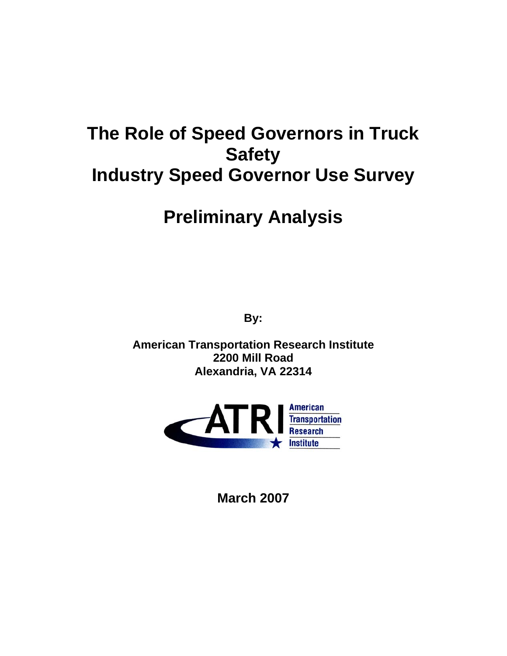# **The Role of Speed Governors in Truck Safety Industry Speed Governor Use Survey**

# **Preliminary Analysis**

**By:** 

**American Transportation Research Institute 2200 Mill Road Alexandria, VA 22314** 



**March 2007**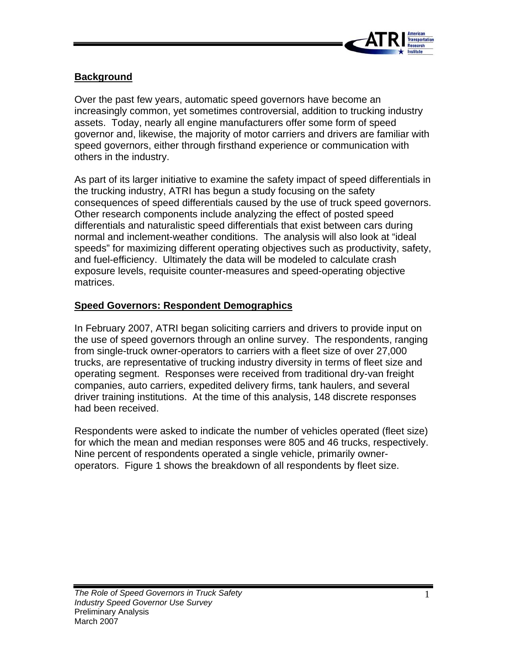

# **Background**

Over the past few years, automatic speed governors have become an increasingly common, yet sometimes controversial, addition to trucking industry assets. Today, nearly all engine manufacturers offer some form of speed governor and, likewise, the majority of motor carriers and drivers are familiar with speed governors, either through firsthand experience or communication with others in the industry.

As part of its larger initiative to examine the safety impact of speed differentials in the trucking industry, ATRI has begun a study focusing on the safety consequences of speed differentials caused by the use of truck speed governors. Other research components include analyzing the effect of posted speed differentials and naturalistic speed differentials that exist between cars during normal and inclement-weather conditions. The analysis will also look at "ideal speeds" for maximizing different operating objectives such as productivity, safety, and fuel-efficiency. Ultimately the data will be modeled to calculate crash exposure levels, requisite counter-measures and speed-operating objective matrices.

#### **Speed Governors: Respondent Demographics**

In February 2007, ATRI began soliciting carriers and drivers to provide input on the use of speed governors through an online survey. The respondents, ranging from single-truck owner-operators to carriers with a fleet size of over 27,000 trucks, are representative of trucking industry diversity in terms of fleet size and operating segment. Responses were received from traditional dry-van freight companies, auto carriers, expedited delivery firms, tank haulers, and several driver training institutions. At the time of this analysis, 148 discrete responses had been received.

Respondents were asked to indicate the number of vehicles operated (fleet size) for which the mean and median responses were 805 and 46 trucks, respectively. Nine percent of respondents operated a single vehicle, primarily owneroperators. Figure 1 shows the breakdown of all respondents by fleet size.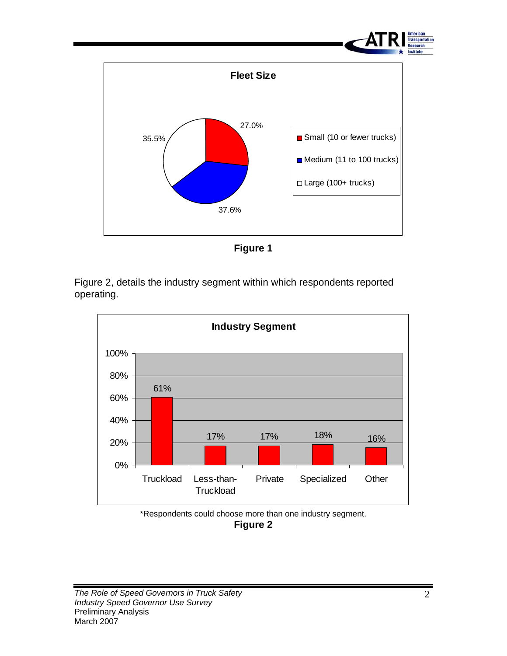

**Figure 1** 

Figure 2, details the industry segment within which respondents reported operating.



\*Respondents could choose more than one industry segment.

**Figure 2**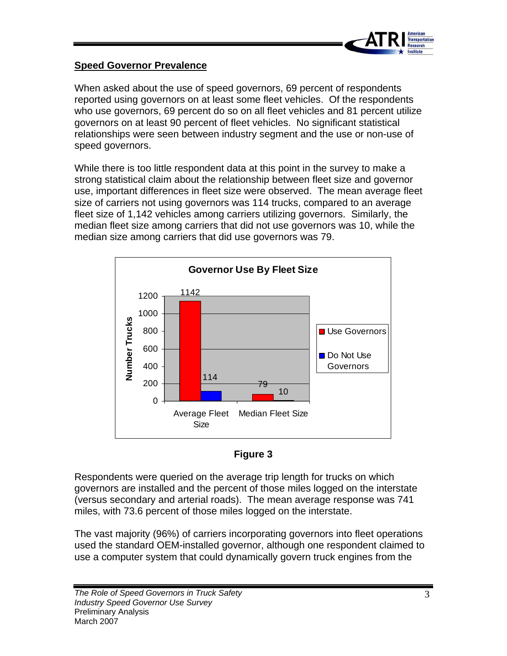

#### **Speed Governor Prevalence**

When asked about the use of speed governors, 69 percent of respondents reported using governors on at least some fleet vehicles. Of the respondents who use governors, 69 percent do so on all fleet vehicles and 81 percent utilize governors on at least 90 percent of fleet vehicles. No significant statistical relationships were seen between industry segment and the use or non-use of speed governors.

While there is too little respondent data at this point in the survey to make a strong statistical claim about the relationship between fleet size and governor use, important differences in fleet size were observed. The mean average fleet size of carriers not using governors was 114 trucks, compared to an average fleet size of 1,142 vehicles among carriers utilizing governors. Similarly, the median fleet size among carriers that did not use governors was 10, while the median size among carriers that did use governors was 79.





Respondents were queried on the average trip length for trucks on which governors are installed and the percent of those miles logged on the interstate (versus secondary and arterial roads). The mean average response was 741 miles, with 73.6 percent of those miles logged on the interstate.

The vast majority (96%) of carriers incorporating governors into fleet operations used the standard OEM-installed governor, although one respondent claimed to use a computer system that could dynamically govern truck engines from the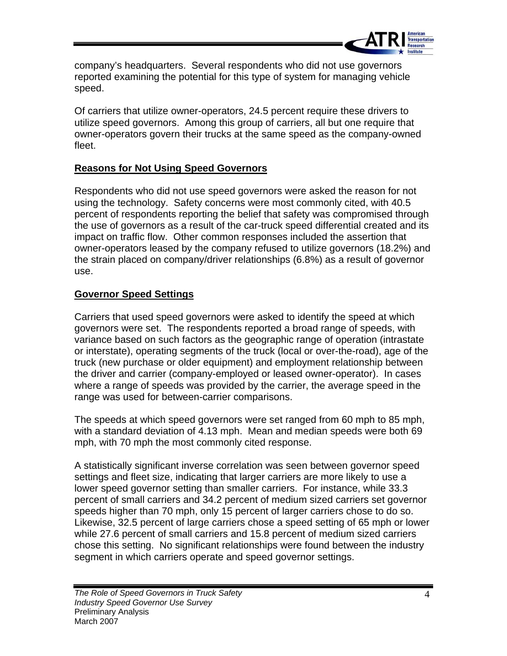

company's headquarters. Several respondents who did not use governors reported examining the potential for this type of system for managing vehicle speed.

Of carriers that utilize owner-operators, 24.5 percent require these drivers to utilize speed governors. Among this group of carriers, all but one require that owner-operators govern their trucks at the same speed as the company-owned fleet.

## **Reasons for Not Using Speed Governors**

Respondents who did not use speed governors were asked the reason for not using the technology. Safety concerns were most commonly cited, with 40.5 percent of respondents reporting the belief that safety was compromised through the use of governors as a result of the car-truck speed differential created and its impact on traffic flow. Other common responses included the assertion that owner-operators leased by the company refused to utilize governors (18.2%) and the strain placed on company/driver relationships (6.8%) as a result of governor use.

## **Governor Speed Settings**

Carriers that used speed governors were asked to identify the speed at which governors were set. The respondents reported a broad range of speeds, with variance based on such factors as the geographic range of operation (intrastate or interstate), operating segments of the truck (local or over-the-road), age of the truck (new purchase or older equipment) and employment relationship between the driver and carrier (company-employed or leased owner-operator). In cases where a range of speeds was provided by the carrier, the average speed in the range was used for between-carrier comparisons.

The speeds at which speed governors were set ranged from 60 mph to 85 mph, with a standard deviation of 4.13 mph. Mean and median speeds were both 69 mph, with 70 mph the most commonly cited response.

A statistically significant inverse correlation was seen between governor speed settings and fleet size, indicating that larger carriers are more likely to use a lower speed governor setting than smaller carriers. For instance, while 33.3 percent of small carriers and 34.2 percent of medium sized carriers set governor speeds higher than 70 mph, only 15 percent of larger carriers chose to do so. Likewise, 32.5 percent of large carriers chose a speed setting of 65 mph or lower while 27.6 percent of small carriers and 15.8 percent of medium sized carriers chose this setting. No significant relationships were found between the industry segment in which carriers operate and speed governor settings.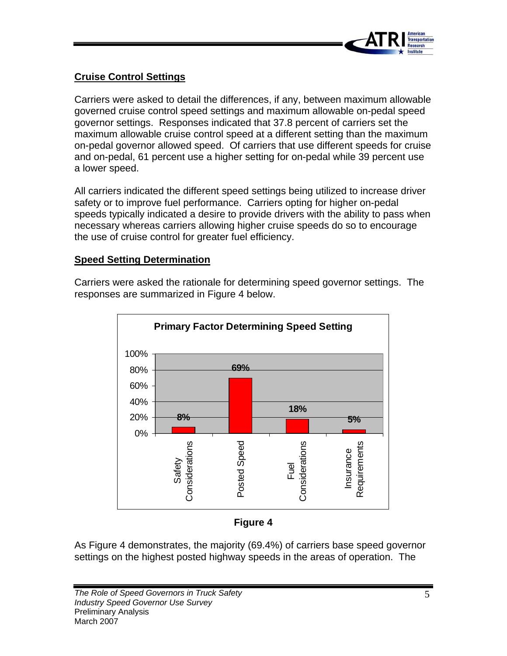

# **Cruise Control Settings**

Carriers were asked to detail the differences, if any, between maximum allowable governed cruise control speed settings and maximum allowable on-pedal speed governor settings. Responses indicated that 37.8 percent of carriers set the maximum allowable cruise control speed at a different setting than the maximum on-pedal governor allowed speed. Of carriers that use different speeds for cruise and on-pedal, 61 percent use a higher setting for on-pedal while 39 percent use a lower speed.

All carriers indicated the different speed settings being utilized to increase driver safety or to improve fuel performance. Carriers opting for higher on-pedal speeds typically indicated a desire to provide drivers with the ability to pass when necessary whereas carriers allowing higher cruise speeds do so to encourage the use of cruise control for greater fuel efficiency.

#### **Speed Setting Determination**

Carriers were asked the rationale for determining speed governor settings. The responses are summarized in Figure 4 below.



#### **Figure 4**

As Figure 4 demonstrates, the majority (69.4%) of carriers base speed governor settings on the highest posted highway speeds in the areas of operation. The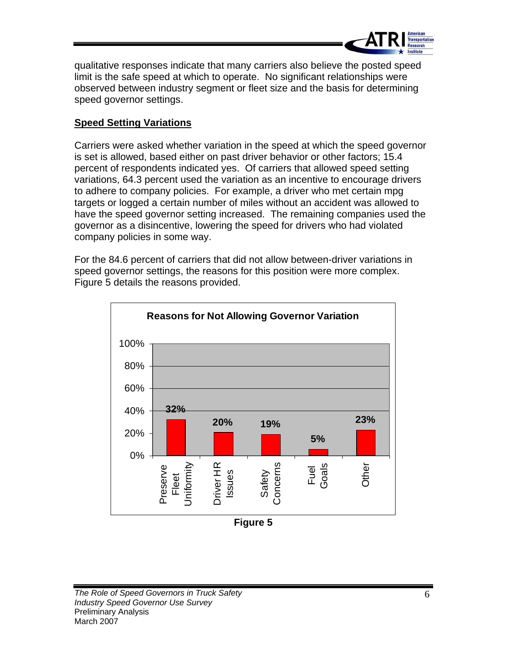

qualitative responses indicate that many carriers also believe the posted speed limit is the safe speed at which to operate. No significant relationships were observed between industry segment or fleet size and the basis for determining speed governor settings.

# **Speed Setting Variations**

Carriers were asked whether variation in the speed at which the speed governor is set is allowed, based either on past driver behavior or other factors; 15.4 percent of respondents indicated yes. Of carriers that allowed speed setting variations, 64.3 percent used the variation as an incentive to encourage drivers to adhere to company policies. For example, a driver who met certain mpg targets or logged a certain number of miles without an accident was allowed to have the speed governor setting increased. The remaining companies used the governor as a disincentive, lowering the speed for drivers who had violated company policies in some way.

For the 84.6 percent of carriers that did not allow between-driver variations in speed governor settings, the reasons for this position were more complex. Figure 5 details the reasons provided.



**Figure 5**